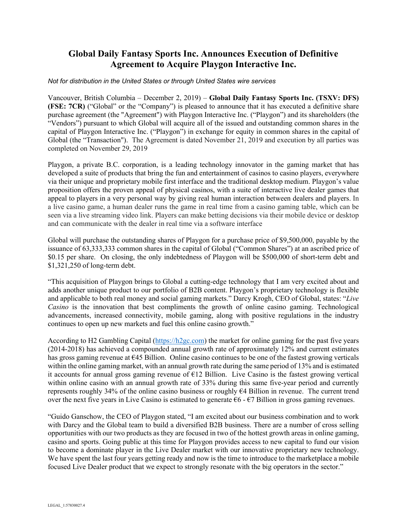# **Global Daily Fantasy Sports Inc. Announces Execution of Definitive Agreement to Acquire Playgon Interactive Inc.**

#### *Not for distribution in the United States or through United States wire services*

Vancouver, British Columbia – December 2, 2019) – **Global Daily Fantasy Sports Inc. (TSXV: DFS) (FSE: 7CR)** ("Global" or the "Company") is pleased to announce that it has executed a definitive share purchase agreement (the "Agreement") with Playgon Interactive Inc. ("Playgon") and its shareholders (the "Vendors") pursuant to which Global will acquire all of the issued and outstanding common shares in the capital of Playgon Interactive Inc. ("Playgon") in exchange for equity in common shares in the capital of Global (the "Transaction"). The Agreement is dated November 21, 2019 and execution by all parties was completed on November 29, 2019

Playgon, a private B.C. corporation, is a leading technology innovator in the gaming market that has developed a suite of products that bring the fun and entertainment of casinos to casino players, everywhere via their unique and proprietary mobile first interface and the traditional desktop medium. Playgon's value proposition offers the proven appeal of physical casinos, with a suite of interactive live dealer games that appeal to players in a very personal way by giving real human interaction between dealers and players. In a live casino game, a human dealer runs the game in real time from a casino gaming table, which can be seen via a live streaming video link. Players can make betting decisions via their mobile device or desktop and can communicate with the dealer in real time via a software interface

Global will purchase the outstanding shares of Playgon for a purchase price of \$9,500,000, payable by the issuance of 63,333,333 common shares in the capital of Global ("Common Shares") at an ascribed price of \$0.15 per share. On closing, the only indebtedness of Playgon will be \$500,000 of short-term debt and \$1,321,250 of long-term debt.

"This acquisition of Playgon brings to Global a cutting-edge technology that I am very excited about and adds another unique product to our portfolio of B2B content. Playgon's proprietary technology is flexible and applicable to both real money and social gaming markets." Darcy Krogh, CEO of Global, states: "*Live Casino* is the innovation that best compliments the growth of online casino gaming. Technological advancements, increased connectivity, mobile gaming, along with positive regulations in the industry continues to open up new markets and fuel this online casino growth."

According to H2 Gambling Capital [\(https://h2gc.com\)](https://h2gc.com/) the market for online gaming for the past five years (2014-2018) has achieved a compounded annual growth rate of approximately 12% and current estimates has gross gaming revenue at €45 Billion. Online casino continues to be one of the fastest growing verticals within the online gaming market, with an annual growth rate during the same period of 13% and is estimated it accounts for annual gross gaming revenue of  $E12$  Billion. Live Casino is the fastest growing vertical within online casino with an annual growth rate of 33% during this same five-year period and currently represents roughly 34% of the online casino business or roughly  $\epsilon$ 4 Billion in revenue. The current trend over the next five years in Live Casino is estimated to generate  $\epsilon_6$  -  $\epsilon_7$  Billion in gross gaming revenues.

"Guido Ganschow, the CEO of Playgon stated, "I am excited about our business combination and to work with Darcy and the Global team to build a diversified B2B business. There are a number of cross selling opportunities with our two products as they are focused in two of the hottest growth areas in online gaming, casino and sports. Going public at this time for Playgon provides access to new capital to fund our vision to become a dominate player in the Live Dealer market with our innovative proprietary new technology. We have spent the last four years getting ready and now is the time to introduce to the marketplace a mobile focused Live Dealer product that we expect to strongly resonate with the big operators in the sector."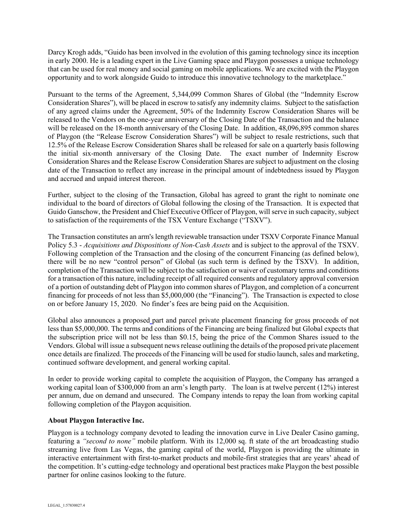Darcy Krogh adds, "Guido has been involved in the evolution of this gaming technology since its inception in early 2000. He is a leading expert in the Live Gaming space and Playgon possesses a unique technology that can be used for real money and social gaming on mobile applications. We are excited with the Playgon opportunity and to work alongside Guido to introduce this innovative technology to the marketplace."

Pursuant to the terms of the Agreement, 5,344,099 Common Shares of Global (the "Indemnity Escrow Consideration Shares"), will be placed in escrow to satisfy any indemnity claims. Subject to the satisfaction of any agreed claims under the Agreement, 50% of the Indemnity Escrow Consideration Shares will be released to the Vendors on the one-year anniversary of the Closing Date of the Transaction and the balance will be released on the 18-month anniversary of the Closing Date. In addition, 48,096,895 common shares of Playgon (the "Release Escrow Consideration Shares") will be subject to resale restrictions, such that 12.5% of the Release Escrow Consideration Shares shall be released for sale on a quarterly basis following the initial six-month anniversary of the Closing Date. The exact number of Indemnity Escrow Consideration Shares and the Release Escrow Consideration Shares are subject to adjustment on the closing date of the Transaction to reflect any increase in the principal amount of indebtedness issued by Playgon and accrued and unpaid interest thereon.

Further, subject to the closing of the Transaction, Global has agreed to grant the right to nominate one individual to the board of directors of Global following the closing of the Transaction. It is expected that Guido Ganschow, the President and Chief Executive Officer of Playgon, will serve in such capacity, subject to satisfaction of the requirements of the TSX Venture Exchange ("TSXV").

The Transaction constitutes an arm's length reviewable transaction under TSXV Corporate Finance Manual Policy 5.3 - *Acquisitions and Dispositions of Non-Cash Assets* and is subject to the approval of the TSXV. Following completion of the Transaction and the closing of the concurrent Financing (as defined below), there will be no new "control person" of Global (as such term is defined by the TSXV). In addition, completion of the Transaction will be subject to the satisfaction or waiver of customary terms and conditions for a transaction of this nature, including receipt of all required consents and regulatory approval conversion of a portion of outstanding debt of Playgon into common shares of Playgon, and completion of a concurrent financing for proceeds of not less than \$5,000,000 (the "Financing"). The Transaction is expected to close on or before January 15, 2020. No finder's fees are being paid on the Acquisition.

Global also announces a proposed part and parcel private placement financing for gross proceeds of not less than \$5,000,000. The terms and conditions of the Financing are being finalized but Global expects that the subscription price will not be less than \$0.15, being the price of the Common Shares issued to the Vendors. Global will issue a subsequent news release outlining the details of the proposed private placement once details are finalized. The proceeds of the Financing will be used for studio launch, sales and marketing, continued software development, and general working capital.

In order to provide working capital to complete the acquisition of Playgon, the Company has arranged a working capital loan of \$300,000 from an arm's length party. The loan is at twelve percent (12%) interest per annum, due on demand and unsecured. The Company intends to repay the loan from working capital following completion of the Playgon acquisition.

# **About Playgon Interactive Inc.**

Playgon is a technology company devoted to leading the innovation curve in Live Dealer Casino gaming, featuring a *"second to none"* mobile platform. With its 12,000 sq. ft state of the art broadcasting studio streaming live from Las Vegas, the gaming capital of the world, Playgon is providing the ultimate in interactive entertainment with first-to-market products and mobile-first strategies that are years' ahead of the competition. It's cutting-edge technology and operational best practices make Playgon the best possible partner for online casinos looking to the future.